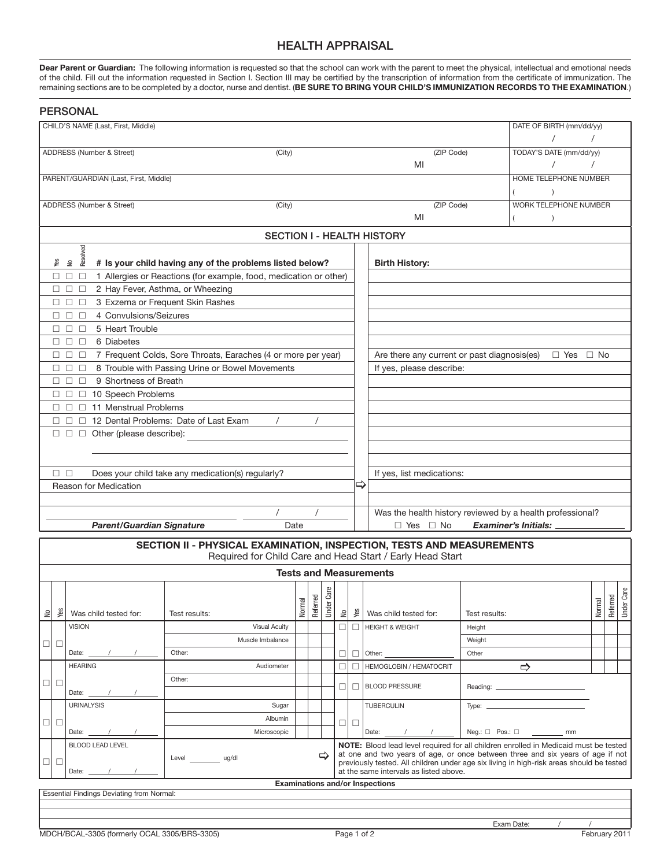## HEALTH APPRAISAL

**Dear Parent or Guardian:** The following information is requested so that the school can work with the parent to meet the physical, intellectual and emotional needs of the child. Fill out the information requested in Section I. Section III may be certified by the transcription of information from the certificate of immunization. The remaining sections are to be completed by a doctor, nurse and dentist. (**BE SURE TO BRING YOUR CHILD'S IMMUNIZATION RECORDS TO THE EXAMINATION**.)

|                                                                                               |                                    | <b>PERSONAL</b>                                        |                                                                       |        |          |                  |        |                                                                                                                                    |                                                                                            |                                                                     |                         |                          |        |          |           |  |
|-----------------------------------------------------------------------------------------------|------------------------------------|--------------------------------------------------------|-----------------------------------------------------------------------|--------|----------|------------------|--------|------------------------------------------------------------------------------------------------------------------------------------|--------------------------------------------------------------------------------------------|---------------------------------------------------------------------|-------------------------|--------------------------|--------|----------|-----------|--|
|                                                                                               | CHILD'S NAME (Last, First, Middle) |                                                        |                                                                       |        |          |                  |        |                                                                                                                                    |                                                                                            |                                                                     |                         | DATE OF BIRTH (mm/dd/yy) |        |          |           |  |
|                                                                                               |                                    |                                                        |                                                                       |        |          |                  |        |                                                                                                                                    |                                                                                            |                                                                     |                         |                          |        |          |           |  |
| ADDRESS (Number & Street)<br>(City)                                                           |                                    |                                                        |                                                                       |        |          |                  |        | (ZIP Code)                                                                                                                         |                                                                                            |                                                                     | TODAY'S DATE (mm/dd/yy) |                          |        |          |           |  |
|                                                                                               |                                    |                                                        |                                                                       |        |          |                  |        |                                                                                                                                    | MI                                                                                         |                                                                     |                         |                          |        |          |           |  |
| PARENT/GUARDIAN (Last, First, Middle)                                                         |                                    |                                                        |                                                                       |        |          |                  |        |                                                                                                                                    |                                                                                            |                                                                     | HOME TELEPHONE NUMBER   |                          |        |          |           |  |
|                                                                                               |                                    |                                                        |                                                                       |        |          |                  |        |                                                                                                                                    |                                                                                            |                                                                     | $\lambda$               |                          |        |          |           |  |
| ADDRESS (Number & Street)<br>(City)                                                           |                                    |                                                        |                                                                       |        |          |                  |        |                                                                                                                                    | (ZIP Code)                                                                                 |                                                                     | WORK TELEPHONE NUMBER   |                          |        |          |           |  |
|                                                                                               |                                    |                                                        |                                                                       |        |          | MI               |        | $\rightarrow$                                                                                                                      |                                                                                            |                                                                     |                         |                          |        |          |           |  |
| <b>SECTION I - HEALTH HISTORY</b>                                                             |                                    |                                                        |                                                                       |        |          |                  |        |                                                                                                                                    |                                                                                            |                                                                     |                         |                          |        |          |           |  |
| <b>Resolved</b><br>Say<br># Is your child having any of the problems listed below?<br>€       |                                    |                                                        |                                                                       |        |          |                  |        |                                                                                                                                    | <b>Birth History:</b>                                                                      |                                                                     |                         |                          |        |          |           |  |
| 1 Allergies or Reactions (for example, food, medication or other)<br>$\square$ $\square$<br>0 |                                    |                                                        |                                                                       |        |          |                  |        |                                                                                                                                    |                                                                                            |                                                                     |                         |                          |        |          |           |  |
|                                                                                               | □.                                 | 2 Hay Fever, Asthma, or Wheezing<br>$\Box$<br>$\Box$   |                                                                       |        |          |                  |        |                                                                                                                                    |                                                                                            |                                                                     |                         |                          |        |          |           |  |
|                                                                                               | П.                                 | $\Box$<br>$\Box$                                       | 3 Exzema or Frequent Skin Rashes                                      |        |          |                  |        |                                                                                                                                    |                                                                                            |                                                                     |                         |                          |        |          |           |  |
|                                                                                               | П.                                 | 4 Convulsions/Seizures<br>$\Box$<br>П                  |                                                                       |        |          |                  |        |                                                                                                                                    |                                                                                            |                                                                     |                         |                          |        |          |           |  |
| 5 Heart Trouble<br>$\Box$<br>П<br>П.                                                          |                                    |                                                        |                                                                       |        |          |                  |        |                                                                                                                                    |                                                                                            |                                                                     |                         |                          |        |          |           |  |
| 6 Diabetes<br>$\Box$<br>0                                                                     |                                    |                                                        |                                                                       |        |          |                  |        |                                                                                                                                    |                                                                                            |                                                                     |                         |                          |        |          |           |  |
| 7 Frequent Colds, Sore Throats, Earaches (4 or more per year)<br>$\Box$ $\Box$ $\Box$         |                                    |                                                        |                                                                       |        |          |                  |        |                                                                                                                                    |                                                                                            | Are there any current or past diagnosis(es)<br>$\Box$ Yes $\Box$ No |                         |                          |        |          |           |  |
| 8 Trouble with Passing Urine or Bowel Movements<br>$\Box$ $\Box$<br>$\Box$                    |                                    |                                                        |                                                                       |        |          |                  |        |                                                                                                                                    | If yes, please describe:                                                                   |                                                                     |                         |                          |        |          |           |  |
|                                                                                               | П.                                 | 9 Shortness of Breath<br>$\Box$<br>$\Box$              |                                                                       |        |          |                  |        |                                                                                                                                    |                                                                                            |                                                                     |                         |                          |        |          |           |  |
|                                                                                               | 0                                  | $\Box$ 10 Speech Problems                              |                                                                       |        |          |                  |        |                                                                                                                                    |                                                                                            |                                                                     |                         |                          |        |          |           |  |
|                                                                                               | П.                                 | 11 Menstrual Problems<br>$\Box$<br>П.                  |                                                                       |        |          |                  |        |                                                                                                                                    |                                                                                            |                                                                     |                         |                          |        |          |           |  |
|                                                                                               | П.                                 | П<br>$\Box$                                            | 12 Dental Problems: Date of Last Exam                                 |        | $\prime$ |                  |        |                                                                                                                                    |                                                                                            |                                                                     |                         |                          |        |          |           |  |
|                                                                                               |                                    | $\square$ $\square$ $\square$ Other (please describe): |                                                                       |        |          |                  |        |                                                                                                                                    |                                                                                            |                                                                     |                         |                          |        |          |           |  |
|                                                                                               |                                    |                                                        |                                                                       |        |          |                  |        |                                                                                                                                    |                                                                                            |                                                                     |                         |                          |        |          |           |  |
|                                                                                               |                                    |                                                        |                                                                       |        |          |                  |        |                                                                                                                                    |                                                                                            |                                                                     |                         |                          |        |          |           |  |
|                                                                                               | $\Box$ $\Box$                      |                                                        | Does your child take any medication(s) regularly?                     |        |          |                  |        | ⇨                                                                                                                                  | If yes, list medications:                                                                  |                                                                     |                         |                          |        |          |           |  |
|                                                                                               |                                    | Reason for Medication                                  |                                                                       |        |          |                  |        |                                                                                                                                    |                                                                                            |                                                                     |                         |                          |        |          |           |  |
|                                                                                               |                                    |                                                        | $\prime$                                                              |        | $\prime$ |                  |        |                                                                                                                                    |                                                                                            |                                                                     |                         |                          |        |          |           |  |
|                                                                                               |                                    | <b>Parent/Guardian Signature</b>                       |                                                                       | Date   |          |                  |        |                                                                                                                                    | Was the health history reviewed by a health professional?<br>$\Box$ Yes $\Box$ No          |                                                                     |                         |                          |        |          |           |  |
|                                                                                               |                                    |                                                        |                                                                       |        |          |                  |        |                                                                                                                                    |                                                                                            |                                                                     | Examiner's Initials: _  |                          |        |          |           |  |
|                                                                                               |                                    |                                                        | SECTION II - PHYSICAL EXAMINATION, INSPECTION, TESTS AND MEASUREMENTS |        |          |                  |        |                                                                                                                                    | Required for Child Care and Head Start / Early Head Start                                  |                                                                     |                         |                          |        |          |           |  |
|                                                                                               |                                    |                                                        |                                                                       |        |          |                  |        |                                                                                                                                    | <b>Tests and Measurements</b>                                                              |                                                                     |                         |                          |        |          |           |  |
|                                                                                               |                                    |                                                        |                                                                       |        |          | உ                |        |                                                                                                                                    |                                                                                            |                                                                     |                         |                          |        |          | உ         |  |
|                                                                                               |                                    |                                                        |                                                                       |        | Referred | <b>Under Car</b> |        |                                                                                                                                    |                                                                                            |                                                                     |                         |                          |        | Referred | Under Car |  |
| $\stackrel{\circ}{\simeq}$                                                                    | Yes                                | Was child tested for:                                  | Test results:                                                         | Normal |          |                  | $\geq$ | yes                                                                                                                                | Was child tested for:                                                                      | Test results:                                                       |                         |                          | Normal |          |           |  |
|                                                                                               |                                    | <b>VISION</b>                                          | <b>Visual Acuity</b>                                                  |        |          |                  | ПI     | □                                                                                                                                  | <b>HEIGHT &amp; WEIGHT</b>                                                                 | Height                                                              |                         |                          |        |          |           |  |
| $\Box$                                                                                        | $\Box$                             |                                                        | Muscle Imbalance                                                      |        |          |                  |        |                                                                                                                                    |                                                                                            | Weight                                                              |                         |                          |        |          |           |  |
|                                                                                               |                                    | Date: $\frac{1}{2}$                                    | Other:                                                                |        |          |                  | ⊔      | □                                                                                                                                  | Other:                                                                                     | Other                                                               |                         |                          |        |          |           |  |
|                                                                                               |                                    | <b>HEARING</b>                                         | Audiometer                                                            |        |          |                  | □      | ⊔                                                                                                                                  | <b>HEMOGLOBIN / HEMATOCRIT</b>                                                             |                                                                     | $\Rightarrow$           |                          |        |          |           |  |
| $\Box$                                                                                        | $\Box$                             | Date: $\_\_$                                           | Other:                                                                |        |          |                  | П      | П                                                                                                                                  | <b>BLOOD PRESSURE</b>                                                                      |                                                                     |                         |                          |        |          |           |  |
|                                                                                               |                                    | <b>URINALYSIS</b>                                      | Sugar                                                                 |        |          |                  |        |                                                                                                                                    | <b>TUBERCULIN</b>                                                                          | Type: $\_\_$                                                        |                         |                          |        |          |           |  |
| $\Box$                                                                                        | $\Box$                             |                                                        | Albumin                                                               |        |          |                  | 미ㅁ     |                                                                                                                                    |                                                                                            |                                                                     |                         |                          |        |          |           |  |
|                                                                                               |                                    | Date: $\_\_$                                           | Microscopic                                                           |        |          |                  |        |                                                                                                                                    | Date: $\frac{1}{\sqrt{1-\frac{1}{2}}}\left\vert \frac{1}{\sqrt{1-\frac{1}{2}}}\right\vert$ |                                                                     |                         |                          |        |          |           |  |
|                                                                                               |                                    | <b>BLOOD LEAD LEVEL</b>                                |                                                                       |        |          |                  |        |                                                                                                                                    | NOTE: Blood lead level required for all children enrolled in Medicaid must be tested       |                                                                     |                         |                          |        |          |           |  |
| $\Box$                                                                                        | $\Box$                             |                                                        | Level ___________ ug/dl                                               |        |          | ⇨                |        |                                                                                                                                    | at one and two years of age, or once between three and six years of age if not             |                                                                     |                         |                          |        |          |           |  |
|                                                                                               |                                    | Date:                                                  |                                                                       |        |          |                  |        | previously tested. All children under age six living in high-risk areas should be tested<br>at the same intervals as listed above. |                                                                                            |                                                                     |                         |                          |        |          |           |  |

Essential Findings Deviating from Normal:

**Examinations and/or Inspections**